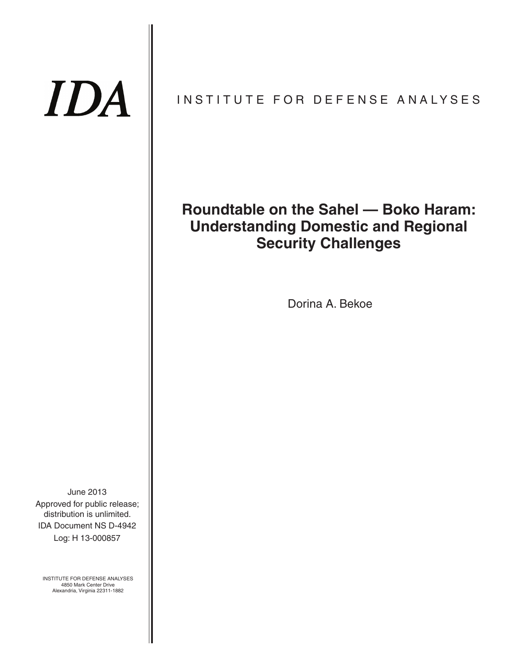# IDA

## INSTITUTE FOR DEFENSE ANALYSES

## **Roundtable on the Sahel — Boko Haram: Understanding Domestic and Regional Security Challenges**

Dorina A. Bekoe

IDA Document NS D-4942 June 2013 Log: H 13-000857 Approved for public release; distribution is unlimited.

INSTITUTE FOR DEFENSE ANALYSES 4850 Mark Center Drive Alexandria, Virginia 22311-1882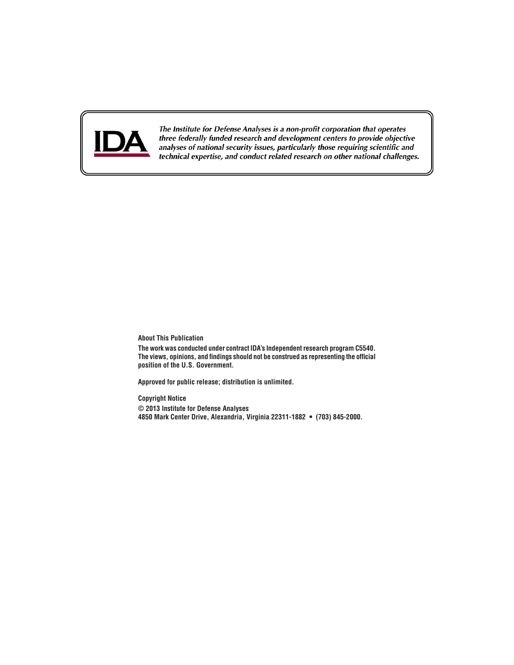

The Institute for Defense Analyses is a non-profit corporation that operates three federally funded research and development centers to provide objective analyses of national security issues, particularly those requiring scientific and technical expertise, and conduct related research on other national challenges.

#### **About This Publication**

**The work was conducted under contract IDA's Independent research program C5540. The views, opinions, and findings should not be construed as representing the official position of the U.S. Government.**

**Approved for public release; distribution is unlimited.**

**Copyright Notice**

**© 2013 Institute for Defense Analyses 4850 Mark Center Drive, Alexandria, Virginia 22311-1882 • (703) 845-2000.**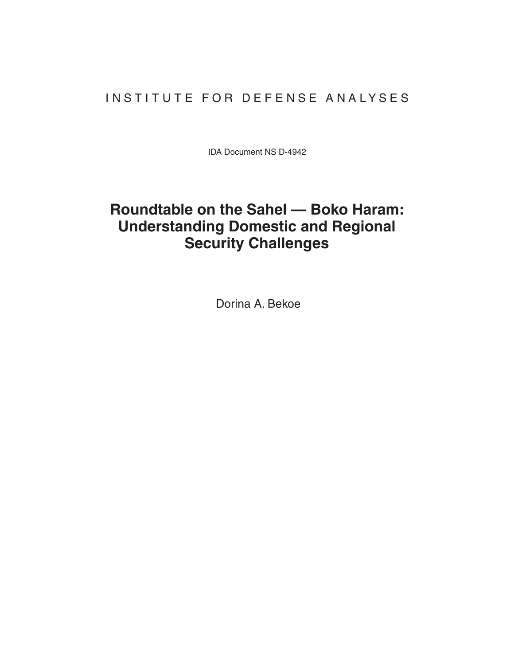## INSTITUTE FOR DEFENSE ANALYSES

IDA Document NS D-4942

## **Roundtable on the Sahel — Boko Haram: Understanding Domestic and Regional Security Challenges**

Dorina A. Bekoe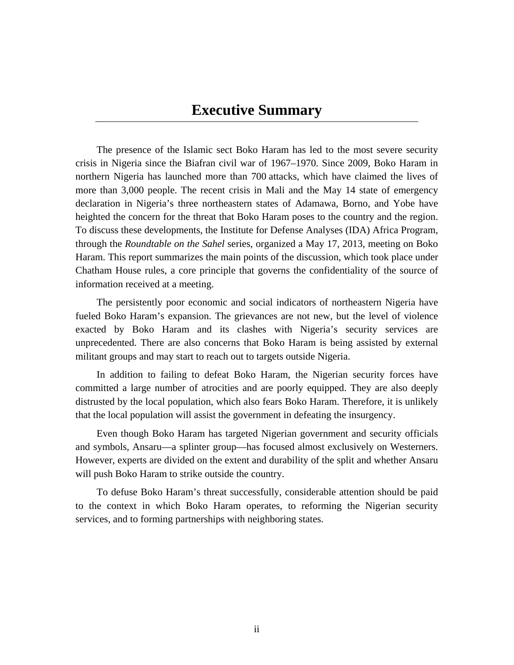## **Executive Summary**

The presence of the Islamic sect Boko Haram has led to the most severe security crisis in Nigeria since the Biafran civil war of 1967–1970. Since 2009, Boko Haram in northern Nigeria has launched more than 700 attacks, which have claimed the lives of more than 3,000 people. The recent crisis in Mali and the May 14 state of emergency declaration in Nigeria's three northeastern states of Adamawa, Borno, and Yobe have heighted the concern for the threat that Boko Haram poses to the country and the region. To discuss these developments, the Institute for Defense Analyses (IDA) Africa Program, through the *Roundtable on the Sahel* series, organized a May 17, 2013, meeting on Boko Haram. This report summarizes the main points of the discussion, which took place under Chatham House rules, a core principle that governs the confidentiality of the source of information received at a meeting.

The persistently poor economic and social indicators of northeastern Nigeria have fueled Boko Haram's expansion. The grievances are not new, but the level of violence exacted by Boko Haram and its clashes with Nigeria's security services are unprecedented. There are also concerns that Boko Haram is being assisted by external militant groups and may start to reach out to targets outside Nigeria.

In addition to failing to defeat Boko Haram, the Nigerian security forces have committed a large number of atrocities and are poorly equipped. They are also deeply distrusted by the local population, which also fears Boko Haram. Therefore, it is unlikely that the local population will assist the government in defeating the insurgency.

Even though Boko Haram has targeted Nigerian government and security officials and symbols, Ansaru—a splinter group—has focused almost exclusively on Westerners. However, experts are divided on the extent and durability of the split and whether Ansaru will push Boko Haram to strike outside the country.

To defuse Boko Haram's threat successfully, considerable attention should be paid to the context in which Boko Haram operates, to reforming the Nigerian security services, and to forming partnerships with neighboring states.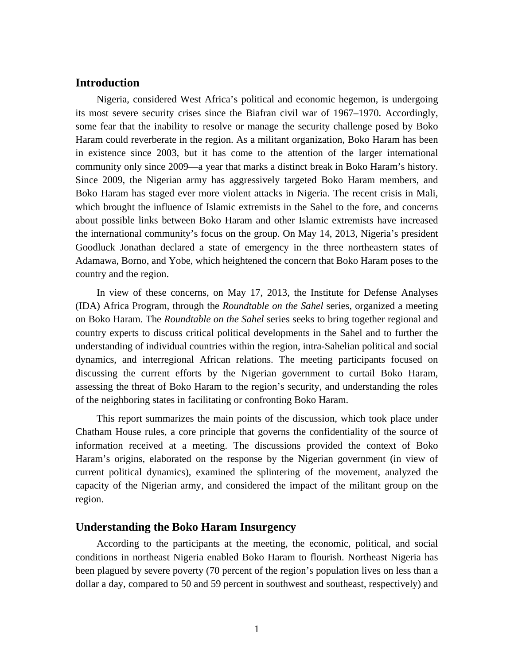#### **Introduction**

Nigeria, considered West Africa's political and economic hegemon, is undergoing its most severe security crises since the Biafran civil war of 1967–1970. Accordingly, some fear that the inability to resolve or manage the security challenge posed by Boko Haram could reverberate in the region. As a militant organization, Boko Haram has been in existence since 2003, but it has come to the attention of the larger international community only since 2009—a year that marks a distinct break in Boko Haram's history. Since 2009, the Nigerian army has aggressively targeted Boko Haram members, and Boko Haram has staged ever more violent attacks in Nigeria. The recent crisis in Mali, which brought the influence of Islamic extremists in the Sahel to the fore, and concerns about possible links between Boko Haram and other Islamic extremists have increased the international community's focus on the group. On May 14, 2013, Nigeria's president Goodluck Jonathan declared a state of emergency in the three northeastern states of Adamawa, Borno, and Yobe, which heightened the concern that Boko Haram poses to the country and the region.

In view of these concerns, on May 17, 2013, the Institute for Defense Analyses (IDA) Africa Program, through the *Roundtable on the Sahel* series, organized a meeting on Boko Haram. The *Roundtable on the Sahel* series seeks to bring together regional and country experts to discuss critical political developments in the Sahel and to further the understanding of individual countries within the region, intra-Sahelian political and social dynamics, and interregional African relations. The meeting participants focused on discussing the current efforts by the Nigerian government to curtail Boko Haram, assessing the threat of Boko Haram to the region's security, and understanding the roles of the neighboring states in facilitating or confronting Boko Haram.

This report summarizes the main points of the discussion, which took place under Chatham House rules, a core principle that governs the confidentiality of the source of information received at a meeting. The discussions provided the context of Boko Haram's origins, elaborated on the response by the Nigerian government (in view of current political dynamics), examined the splintering of the movement, analyzed the capacity of the Nigerian army, and considered the impact of the militant group on the region.

#### **Understanding the Boko Haram Insurgency**

According to the participants at the meeting, the economic, political, and social conditions in northeast Nigeria enabled Boko Haram to flourish. Northeast Nigeria has been plagued by severe poverty (70 percent of the region's population lives on less than a dollar a day, compared to 50 and 59 percent in southwest and southeast, respectively) and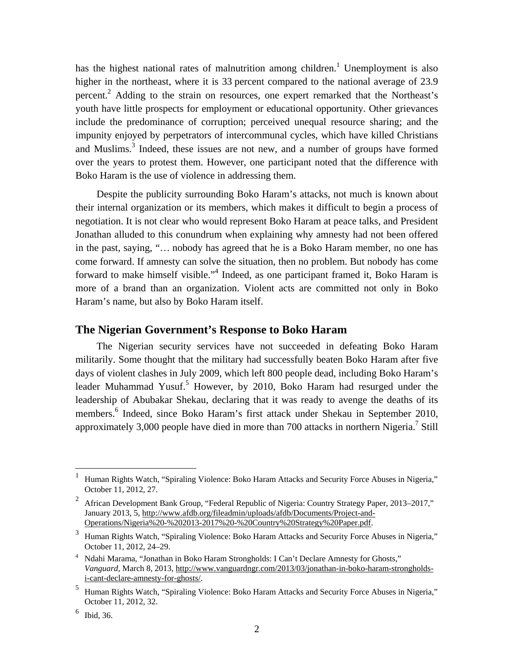has the highest national rates of malnutrition among children.<sup>1</sup> Unemployment is also higher in the northeast, where it is 33 percent compared to the national average of 23.9 percent.<sup>2</sup> Adding to the strain on resources, one expert remarked that the Northeast's youth have little prospects for employment or educational opportunity. Other grievances include the predominance of corruption; perceived unequal resource sharing; and the impunity enjoyed by perpetrators of intercommunal cycles, which have killed Christians and Muslims.<sup>3</sup> Indeed, these issues are not new, and a number of groups have formed over the years to protest them. However, one participant noted that the difference with Boko Haram is the use of violence in addressing them.

Despite the publicity surrounding Boko Haram's attacks, not much is known about their internal organization or its members, which makes it difficult to begin a process of negotiation. It is not clear who would represent Boko Haram at peace talks, and President Jonathan alluded to this conundrum when explaining why amnesty had not been offered in the past, saying, "… nobody has agreed that he is a Boko Haram member, no one has come forward. If amnesty can solve the situation, then no problem. But nobody has come forward to make himself visible."<sup>4</sup> Indeed, as one participant framed it, Boko Haram is more of a brand than an organization. Violent acts are committed not only in Boko Haram's name, but also by Boko Haram itself.

#### **The Nigerian Government's Response to Boko Haram**

The Nigerian security services have not succeeded in defeating Boko Haram militarily. Some thought that the military had successfully beaten Boko Haram after five days of violent clashes in July 2009, which left 800 people dead, including Boko Haram's leader Muhammad Yusuf.<sup>5</sup> However, by 2010, Boko Haram had resurged under the leadership of Abubakar Shekau, declaring that it was ready to avenge the deaths of its members.<sup>6</sup> Indeed, since Boko Haram's first attack under Shekau in September 2010, approximately 3,000 people have died in more than 700 attacks in northern Nigeria.<sup>7</sup> Still

1

<sup>1</sup> Human Rights Watch, "Spiraling Violence: Boko Haram Attacks and Security Force Abuses in Nigeria," October 11, 2012, 27.

<sup>2</sup> African Development Bank Group, "Federal Republic of Nigeria: Country Strategy Paper, 2013–2017," January 2013, 5, http://www.afdb.org/fileadmin/uploads/afdb/Documents/Project-and-Operations/Nigeria%20-%202013-2017%20-%20Country%20Strategy%20Paper.pdf.

<sup>3</sup> Human Rights Watch, "Spiraling Violence: Boko Haram Attacks and Security Force Abuses in Nigeria," October 11, 2012, 24–29.

<sup>&</sup>lt;sup>4</sup> Ndahi Marama, "Jonathan in Boko Haram Strongholds: I Can't Declare Amnesty for Ghosts," *Vanguard,* March 8, 2013, http://www.vanguardngr.com/2013/03/jonathan-in-boko-haram-strongholdsi-cant-declare-amnesty-for-ghosts/.

<sup>&</sup>lt;sup>5</sup> Human Rights Watch, "Spiraling Violence: Boko Haram Attacks and Security Force Abuses in Nigeria," October 11, 2012, 32.

<sup>6</sup> Ibid, 36.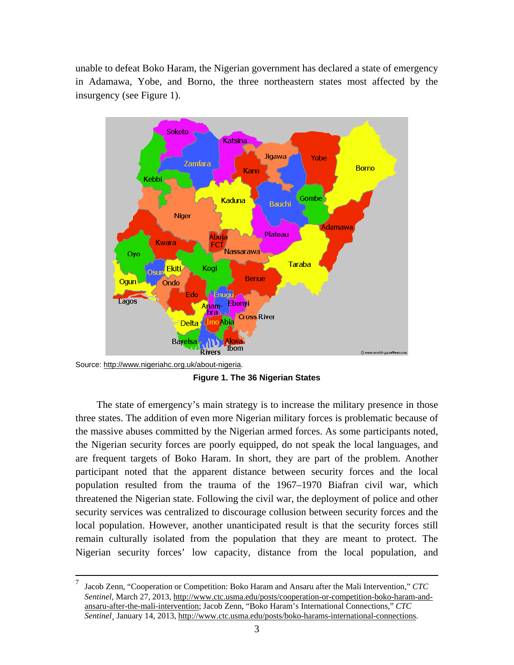unable to defeat Boko Haram, the Nigerian government has declared a state of emergency in Adamawa, Yobe, and Borno, the three northeastern states most affected by the insurgency (see Figure 1).



Source: http://www.nigeriahc.org.uk/about-nigeria.

**Figure 1. The 36 Nigerian States** 

The state of emergency's main strategy is to increase the military presence in those three states. The addition of even more Nigerian military forces is problematic because of the massive abuses committed by the Nigerian armed forces. As some participants noted, the Nigerian security forces are poorly equipped, do not speak the local languages, and are frequent targets of Boko Haram. In short, they are part of the problem. Another participant noted that the apparent distance between security forces and the local population resulted from the trauma of the 1967–1970 Biafran civil war, which threatened the Nigerian state. Following the civil war, the deployment of police and other security services was centralized to discourage collusion between security forces and the local population. However, another unanticipated result is that the security forces still remain culturally isolated from the population that they are meant to protect. The Nigerian security forces' low capacity, distance from the local population, and

<sup>7</sup>  Jacob Zenn, "Cooperation or Competition: Boko Haram and Ansaru after the Mali Intervention," *CTC Sentinel*, March 27, 2013, http://www.ctc.usma.edu/posts/cooperation-or-competition-boko-haram-andansaru-after-the-mali-intervention; Jacob Zenn, "Boko Haram's International Connections," *CTC Sentinel¸* January 14, 2013, http://www.ctc.usma.edu/posts/boko-harams-international-connections.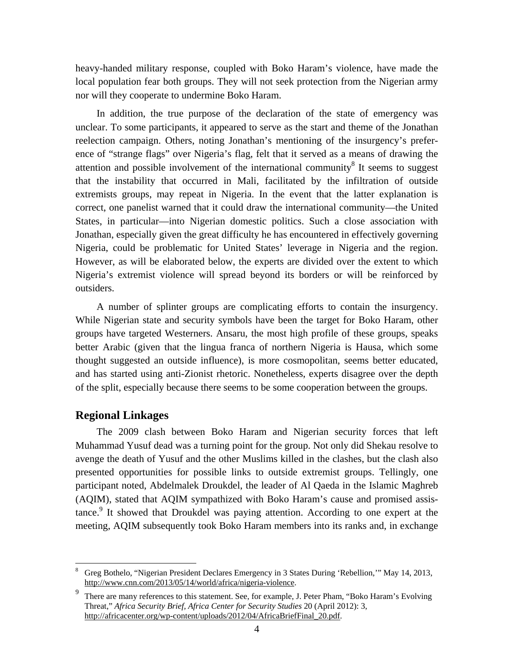heavy-handed military response, coupled with Boko Haram's violence, have made the local population fear both groups. They will not seek protection from the Nigerian army nor will they cooperate to undermine Boko Haram.

In addition, the true purpose of the declaration of the state of emergency was unclear. To some participants, it appeared to serve as the start and theme of the Jonathan reelection campaign. Others, noting Jonathan's mentioning of the insurgency's preference of "strange flags" over Nigeria's flag, felt that it served as a means of drawing the attention and possible involvement of the international community $\delta$  It seems to suggest that the instability that occurred in Mali, facilitated by the infiltration of outside extremists groups, may repeat in Nigeria. In the event that the latter explanation is correct, one panelist warned that it could draw the international community—the United States, in particular—into Nigerian domestic politics. Such a close association with Jonathan, especially given the great difficulty he has encountered in effectively governing Nigeria, could be problematic for United States' leverage in Nigeria and the region. However, as will be elaborated below, the experts are divided over the extent to which Nigeria's extremist violence will spread beyond its borders or will be reinforced by outsiders.

A number of splinter groups are complicating efforts to contain the insurgency. While Nigerian state and security symbols have been the target for Boko Haram, other groups have targeted Westerners. Ansaru, the most high profile of these groups, speaks better Arabic (given that the lingua franca of northern Nigeria is Hausa, which some thought suggested an outside influence), is more cosmopolitan, seems better educated, and has started using anti-Zionist rhetoric. Nonetheless, experts disagree over the depth of the split, especially because there seems to be some cooperation between the groups.

### **Regional Linkages**

 $\overline{a}$ 

The 2009 clash between Boko Haram and Nigerian security forces that left Muhammad Yusuf dead was a turning point for the group. Not only did Shekau resolve to avenge the death of Yusuf and the other Muslims killed in the clashes, but the clash also presented opportunities for possible links to outside extremist groups. Tellingly, one participant noted, Abdelmalek Droukdel, the leader of Al Qaeda in the Islamic Maghreb (AQIM), stated that AQIM sympathized with Boko Haram's cause and promised assistance.<sup>9</sup> It showed that Droukdel was paying attention. According to one expert at the meeting, AQIM subsequently took Boko Haram members into its ranks and, in exchange

<sup>8</sup> Greg Bothelo, "Nigerian President Declares Emergency in 3 States During 'Rebellion,'" May 14, 2013, http://www.cnn.com/2013/05/14/world/africa/nigeria-violence.

<sup>9</sup> There are many references to this statement. See, for example, J. Peter Pham, "Boko Haram's Evolving Threat," *Africa Security Brief, Africa Center for Security Studies* 20 (April 2012): 3, http://africacenter.org/wp-content/uploads/2012/04/AfricaBriefFinal\_20.pdf.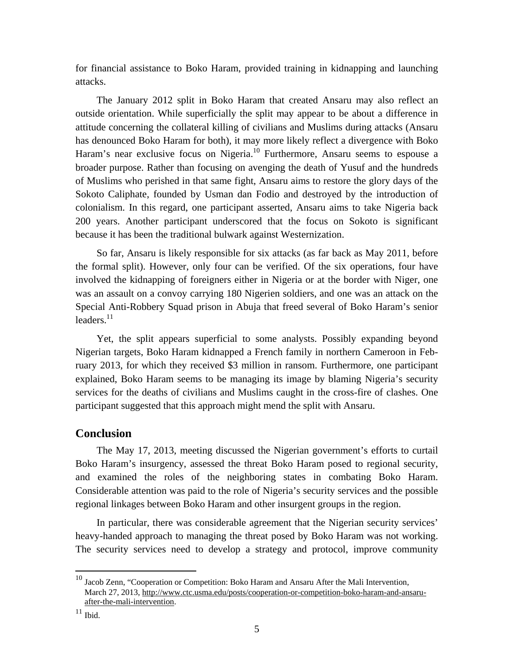for financial assistance to Boko Haram, provided training in kidnapping and launching attacks.

The January 2012 split in Boko Haram that created Ansaru may also reflect an outside orientation. While superficially the split may appear to be about a difference in attitude concerning the collateral killing of civilians and Muslims during attacks (Ansaru has denounced Boko Haram for both), it may more likely reflect a divergence with Boko Haram's near exclusive focus on Nigeria.<sup>10</sup> Furthermore, Ansaru seems to espouse a broader purpose. Rather than focusing on avenging the death of Yusuf and the hundreds of Muslims who perished in that same fight, Ansaru aims to restore the glory days of the Sokoto Caliphate, founded by Usman dan Fodio and destroyed by the introduction of colonialism. In this regard, one participant asserted, Ansaru aims to take Nigeria back 200 years. Another participant underscored that the focus on Sokoto is significant because it has been the traditional bulwark against Westernization.

So far, Ansaru is likely responsible for six attacks (as far back as May 2011, before the formal split). However, only four can be verified. Of the six operations, four have involved the kidnapping of foreigners either in Nigeria or at the border with Niger, one was an assault on a convoy carrying 180 Nigerien soldiers, and one was an attack on the Special Anti-Robbery Squad prison in Abuja that freed several of Boko Haram's senior leaders. $^{11}$ 

Yet, the split appears superficial to some analysts. Possibly expanding beyond Nigerian targets, Boko Haram kidnapped a French family in northern Cameroon in February 2013, for which they received \$3 million in ransom. Furthermore, one participant explained, Boko Haram seems to be managing its image by blaming Nigeria's security services for the deaths of civilians and Muslims caught in the cross-fire of clashes. One participant suggested that this approach might mend the split with Ansaru.

#### **Conclusion**

The May 17, 2013, meeting discussed the Nigerian government's efforts to curtail Boko Haram's insurgency, assessed the threat Boko Haram posed to regional security, and examined the roles of the neighboring states in combating Boko Haram. Considerable attention was paid to the role of Nigeria's security services and the possible regional linkages between Boko Haram and other insurgent groups in the region.

In particular, there was considerable agreement that the Nigerian security services' heavy-handed approach to managing the threat posed by Boko Haram was not working. The security services need to develop a strategy and protocol, improve community

<u>.</u>

 $10$  Jacob Zenn, "Cooperation or Competition: Boko Haram and Ansaru After the Mali Intervention, March 27, 2013, http://www.ctc.usma.edu/posts/cooperation-or-competition-boko-haram-and-ansaruafter-the-mali-intervention.

 $11$  Ibid.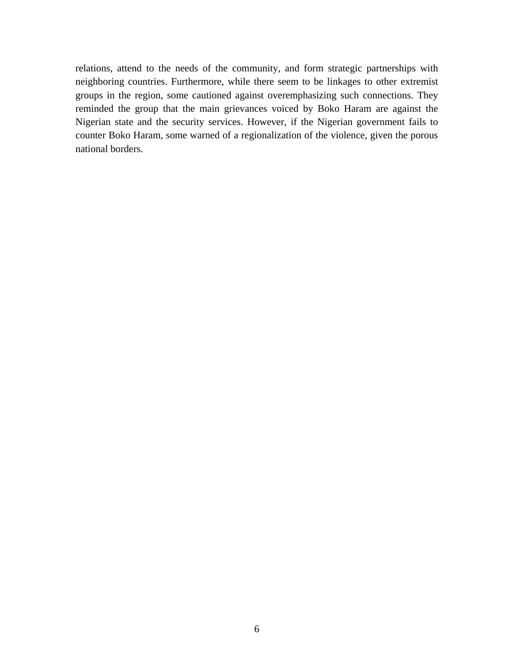relations, attend to the needs of the community, and form strategic partnerships with neighboring countries. Furthermore, while there seem to be linkages to other extremist groups in the region, some cautioned against overemphasizing such connections. They reminded the group that the main grievances voiced by Boko Haram are against the Nigerian state and the security services. However, if the Nigerian government fails to counter Boko Haram, some warned of a regionalization of the violence, given the porous national borders.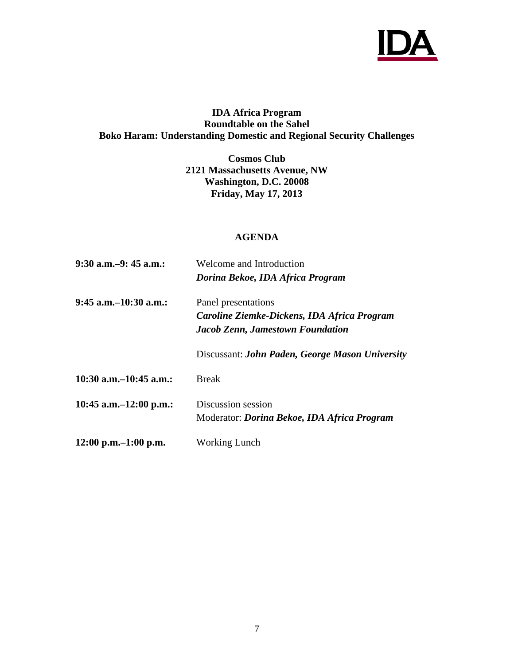

#### **IDA Africa Program Roundtable on the Sahel Boko Haram: Understanding Domestic and Regional Security Challenges**

**Cosmos Club 2121 Massachusetts Avenue, NW Washington, D.C. 20008 Friday, May 17, 2013** 

#### **AGENDA**

| 9:30 a.m.–9: 45 a.m.:     | Welcome and Introduction                                                                                      |  |  |  |  |
|---------------------------|---------------------------------------------------------------------------------------------------------------|--|--|--|--|
|                           | Dorina Bekoe, IDA Africa Program                                                                              |  |  |  |  |
| 9:45 a.m.–10:30 a.m.:     | Panel presentations<br>Caroline Ziemke-Dickens, IDA Africa Program<br><b>Jacob Zenn, Jamestown Foundation</b> |  |  |  |  |
|                           | Discussant: John Paden, George Mason University                                                               |  |  |  |  |
| 10:30 a.m.–10:45 a.m.:    | <b>Break</b>                                                                                                  |  |  |  |  |
| 10:45 a.m. $-12:00$ p.m.: | Discussion session<br>Moderator: <i>Dorina Bekoe, IDA Africa Program</i>                                      |  |  |  |  |
| $12:00$ p.m. $-1:00$ p.m. | <b>Working Lunch</b>                                                                                          |  |  |  |  |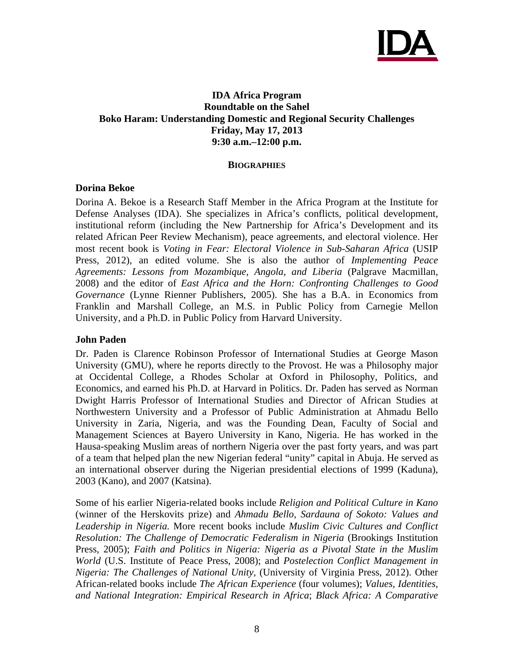

#### **IDA Africa Program Roundtable on the Sahel Boko Haram: Understanding Domestic and Regional Security Challenges Friday, May 17, 2013 9:30 a.m.–12:00 p.m.**

#### **BIOGRAPHIES**

#### **Dorina Bekoe**

Dorina A. Bekoe is a Research Staff Member in the Africa Program at the Institute for Defense Analyses (IDA). She specializes in Africa's conflicts, political development, institutional reform (including the New Partnership for Africa's Development and its related African Peer Review Mechanism), peace agreements, and electoral violence. Her most recent book is *Voting in Fear: Electoral Violence in Sub-Saharan Africa* (USIP Press, 2012), an edited volume. She is also the author of *Implementing Peace Agreements: Lessons from Mozambique, Angola, and Liberia* (Palgrave Macmillan, 2008) and the editor of *East Africa and the Horn: Confronting Challenges to Good Governance* (Lynne Rienner Publishers, 2005). She has a B.A. in Economics from Franklin and Marshall College, an M.S. in Public Policy from Carnegie Mellon University, and a Ph.D. in Public Policy from Harvard University.

#### **John Paden**

Dr. Paden is Clarence Robinson Professor of International Studies at George Mason University (GMU), where he reports directly to the Provost. He was a Philosophy major at Occidental College, a Rhodes Scholar at Oxford in Philosophy, Politics, and Economics, and earned his Ph.D. at Harvard in Politics. Dr. Paden has served as Norman Dwight Harris Professor of International Studies and Director of African Studies at Northwestern University and a Professor of Public Administration at Ahmadu Bello University in Zaria, Nigeria, and was the Founding Dean, Faculty of Social and Management Sciences at Bayero University in Kano, Nigeria. He has worked in the Hausa-speaking Muslim areas of northern Nigeria over the past forty years, and was part of a team that helped plan the new Nigerian federal "unity" capital in Abuja. He served as an international observer during the Nigerian presidential elections of 1999 (Kaduna), 2003 (Kano), and 2007 (Katsina).

Some of his earlier Nigeria-related books include *Religion and Political Culture in Kano* (winner of the Herskovits prize) and *Ahmadu Bello, Sardauna of Sokoto: Values and Leadership in Nigeria.* More recent books include *Muslim Civic Cultures and Conflict Resolution: The Challenge of Democratic Federalism in Nigeria* (Brookings Institution Press, 2005); *Faith and Politics in Nigeria: Nigeria as a Pivotal State in the Muslim World* (U.S. Institute of Peace Press, 2008); and *Postelection Conflict Management in Nigeria: The Challenges of National Unity,* (University of Virginia Press, 2012). Other African-related books include *The African Experience* (four volumes); *Values, Identities, and National Integration: Empirical Research in Africa*; *Black Africa: A Comparative*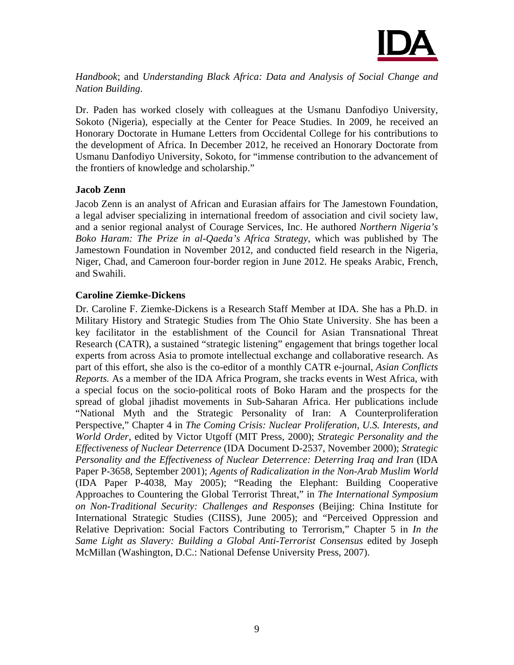

*Handbook*; and *Understanding Black Africa: Data and Analysis of Social Change and Nation Building*.

Dr. Paden has worked closely with colleagues at the Usmanu Danfodiyo University, Sokoto (Nigeria), especially at the Center for Peace Studies. In 2009, he received an Honorary Doctorate in Humane Letters from Occidental College for his contributions to the development of Africa. In December 2012, he received an Honorary Doctorate from Usmanu Danfodiyo University, Sokoto, for "immense contribution to the advancement of the frontiers of knowledge and scholarship."

#### **Jacob Zenn**

Jacob Zenn is an analyst of African and Eurasian affairs for The Jamestown Foundation, a legal adviser specializing in international freedom of association and civil society law, and a senior regional analyst of Courage Services, Inc. He authored *Northern Nigeria's Boko Haram: The Prize in al-Qaeda's Africa Strategy,* which was published by The Jamestown Foundation in November 2012, and conducted field research in the Nigeria, Niger, Chad, and Cameroon four-border region in June 2012. He speaks Arabic, French, and Swahili.

#### **Caroline Ziemke-Dickens**

Dr. Caroline F. Ziemke-Dickens is a Research Staff Member at IDA. She has a Ph.D. in Military History and Strategic Studies from The Ohio State University. She has been a key facilitator in the establishment of the Council for Asian Transnational Threat Research (CATR), a sustained "strategic listening" engagement that brings together local experts from across Asia to promote intellectual exchange and collaborative research. As part of this effort, she also is the co-editor of a monthly CATR e-journal, *Asian Conflicts Reports.* As a member of the IDA Africa Program, she tracks events in West Africa, with a special focus on the socio-political roots of Boko Haram and the prospects for the spread of global jihadist movements in Sub-Saharan Africa. Her publications include "National Myth and the Strategic Personality of Iran: A Counterproliferation Perspective," Chapter 4 in *The Coming Crisis: Nuclear Proliferation, U.S. Interests, and World Order*, edited by Victor Utgoff (MIT Press, 2000); *Strategic Personality and the Effectiveness of Nuclear Deterrence* (IDA Document D-2537, November 2000); *Strategic Personality and the Effectiveness of Nuclear Deterrence: Deterring Iraq and Iran* (IDA Paper P-3658, September 2001); *Agents of Radicalization in the Non-Arab Muslim World* (IDA Paper P-4038, May 2005); "Reading the Elephant: Building Cooperative Approaches to Countering the Global Terrorist Threat," in *The International Symposium on Non-Traditional Security: Challenges and Responses* (Beijing: China Institute for International Strategic Studies (CIISS), June 2005); and "Perceived Oppression and Relative Deprivation: Social Factors Contributing to Terrorism," Chapter 5 in *In the Same Light as Slavery: Building a Global Anti-Terrorist Consensus* edited by Joseph McMillan (Washington, D.C.: National Defense University Press, 2007).